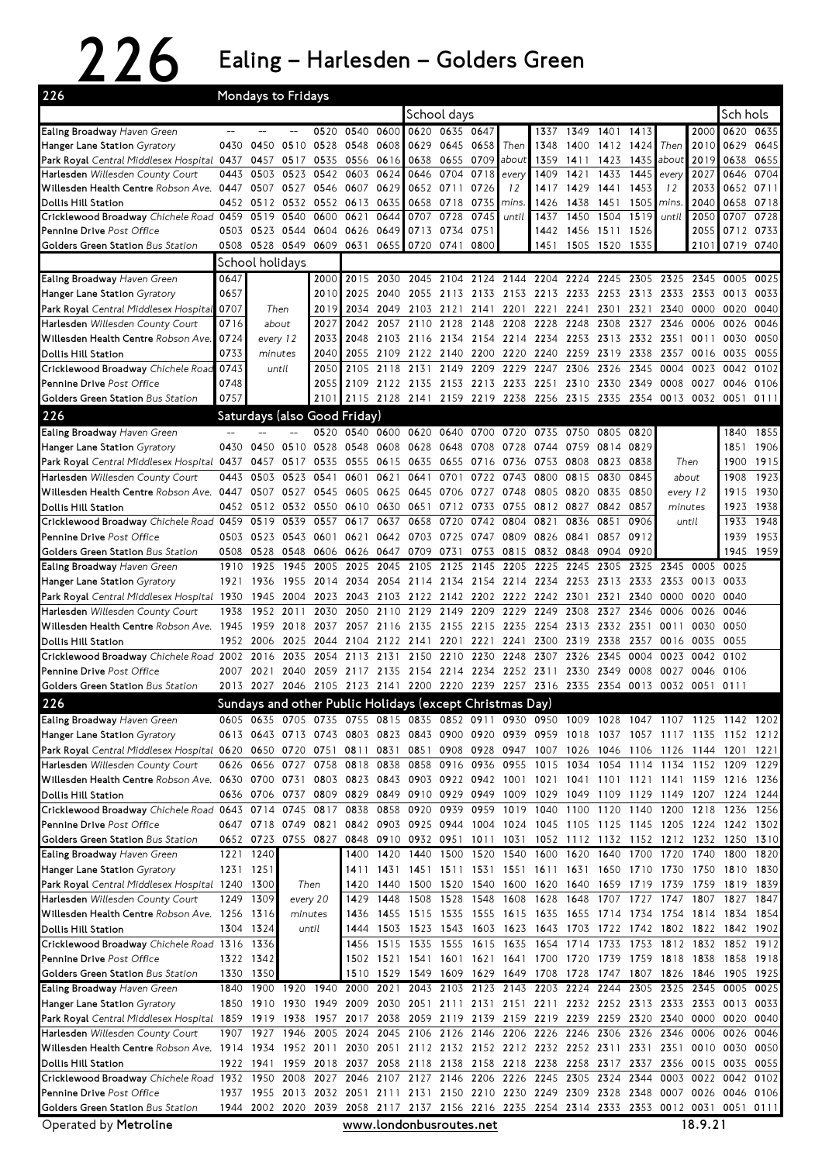## 226 Ealing – Harlesden – Golders Green

| 226                                                                                                                             |                                                                                                                                 |                 | Mondays to Fridays  |       |                                                                       |                |                                                                  |                |           |           |                                         |      |                |      |           |       |                                                                                           |          |
|---------------------------------------------------------------------------------------------------------------------------------|---------------------------------------------------------------------------------------------------------------------------------|-----------------|---------------------|-------|-----------------------------------------------------------------------|----------------|------------------------------------------------------------------|----------------|-----------|-----------|-----------------------------------------|------|----------------|------|-----------|-------|-------------------------------------------------------------------------------------------|----------|
|                                                                                                                                 |                                                                                                                                 |                 |                     |       |                                                                       |                |                                                                  | School days    |           |           |                                         |      |                |      |           |       |                                                                                           | Sch hols |
| Ealing Broadway Haven Green                                                                                                     |                                                                                                                                 |                 |                     | 0520  | 0540                                                                  | 0600           |                                                                  | 0620 0635 0647 |           |           | 1337                                    | 1349 | 1401           | 1413 |           | 2000  | 0620 0635                                                                                 |          |
| Hanger Lane Station Gyratory                                                                                                    | 0430                                                                                                                            | 0450            | 0510                | 0528  | 0548                                                                  | 0608           | 0629                                                             |                | 0645 0658 | Then      | 1348                                    | 1400 | 1412           | 1424 | Then      | 2010  | 0629                                                                                      | 0645     |
| Park Royal Central Middlesex Hospital 0437                                                                                      |                                                                                                                                 | 0457            | 0517                | 0535  |                                                                       | 0556 0616      | 0638                                                             | 0655 0709      |           | about     | 1359                                    | 1411 | 1423           | 1435 | about     | 2019  | 0638                                                                                      | 0655     |
| Harlesden Willesden County Court                                                                                                | 0443                                                                                                                            | 0503            | 0523                | 0542  | 0603                                                                  | 0624           | 0646                                                             | 0704           | 0718      | every     | 1409                                    | 1421 | 1433           | 1445 | every     | 2027  | 0646                                                                                      | 0704     |
| Willesden Health Centre Robson Ave. 0447                                                                                        |                                                                                                                                 | 0507            | 0527                | 0546  | 0607                                                                  | 0629           | 0652                                                             | 0711           | 0726      | 12        | 1417                                    | 1429 | 1441           | 1453 | 12        | 2033  | 0652                                                                                      | 0711     |
| Dollis Hill Station                                                                                                             | 0452                                                                                                                            | 0512            | 0532                | 0552  | 0613                                                                  | 0635           | 0658                                                             | 0718           | 0735      | mins.     | 1426                                    | 1438 | 1451           | 1505 | mins.     | 2040  | 0658                                                                                      | 0718     |
| Cricklewood Broadway Chichele Road 0459                                                                                         |                                                                                                                                 | 0519            | 0540                | 0600  | 0621                                                                  | 0644           | 0707                                                             | 0728           | 0745      | until     | 1437                                    | 1450 | 1504           | 1519 | until     | 2050  | 0707                                                                                      | 0728     |
| Pennine Drive Post Office                                                                                                       |                                                                                                                                 | 0503 0523 0544  |                     | 0604  | 0626                                                                  | 0649           | 0713                                                             | 0734           | 0751      |           | 1442                                    | 1456 | 1511           | 1526 |           | 2055  | 0712 0733                                                                                 |          |
| Golders Green Station Bus Station                                                                                               | 0508                                                                                                                            | 0528            | 0549                | 0609  | 0631                                                                  | 0655           | 0720                                                             | 0741           | 0800      |           | 1451                                    | 1505 | 1520           | 1535 |           | 2101  | 0719 0740                                                                                 |          |
|                                                                                                                                 |                                                                                                                                 | School holidays |                     |       |                                                                       |                |                                                                  |                |           |           |                                         |      |                |      |           |       |                                                                                           |          |
| Ealing Broadway Haven Green                                                                                                     | 0647                                                                                                                            |                 |                     | 2000  | 2015                                                                  | 2030           | 2045                                                             | 2104           | 2124      | 2144      | 2204                                    | 2224 | 2245           | 2305 | 2325      | 2345  | 0005                                                                                      | 0025     |
| Hanger Lane Station Gyratory                                                                                                    | 0657                                                                                                                            |                 |                     | 2010  | 2025                                                                  | 2040           | 2055                                                             |                | 2113 2133 |           | 2153 2213 2233                          |      | 2253           | 2313 | 2333      | 2353  | 0013                                                                                      | 0033     |
| Park Royal Central Middlesex Hospital                                                                                           | 0707                                                                                                                            |                 | Then                | 2019  | 2034                                                                  | 2049           | 2103                                                             | 2121           | 2141      | 2201      | 2221                                    | 2241 | 2301           | 2321 | 2340      | 0000  | 0020                                                                                      | 0040     |
| Harlesden Willesden County Court                                                                                                | 0716                                                                                                                            |                 | about               | 2027  | 2042                                                                  | 2057           | 2110                                                             | 2128           | 2148      | 2208      | 2228                                    | 2248 | 2308           | 2327 | 2346      | 0006  | 0026                                                                                      | 0046     |
| Willesden Health Centre Robson Ave.                                                                                             | 0724                                                                                                                            | every 12        |                     | 2033  | 2048                                                                  | 2103           | 2116                                                             |                | 2134 2154 |           | 2214 2234                               | 2253 | 2313           | 2332 | 2351      | 0011  | 0030                                                                                      | 0050     |
| Dollis Hill Station                                                                                                             | 0733                                                                                                                            | minutes         |                     | 2040  | 2055                                                                  | 2109           | 2122                                                             | 2140           | 2200      | 2220      | 2240                                    | 2259 | 2319           | 2338 | 2357      | 0016  | 0035                                                                                      | 0055     |
| Cricklewood Broadway Chichele Road                                                                                              | 0743                                                                                                                            | until           |                     | 2050  | 2105                                                                  | 2118           | 2131                                                             | 2149           | 2209      | 2229      | 2247                                    | 2306 | 2326           | 2345 | 0004      | 0023  | 0042                                                                                      | 0102     |
| Pennine Drive Post Office                                                                                                       | 0748                                                                                                                            |                 |                     | 2055  |                                                                       | 2109 2122 2135 |                                                                  |                |           |           | 2153 2213 2233 2251 2310 2330 2349      |      |                |      | 0008      | 0027  | 0046                                                                                      | 0106     |
| Golders Green Station Bus Station                                                                                               | 0757                                                                                                                            |                 |                     | 2101  |                                                                       |                | 2115 2128 2141 2159 2219 2238 2256 2315 2335 2354                |                |           |           |                                         |      |                |      | 0013      | 0032  | 0051                                                                                      | 0111     |
| 226                                                                                                                             |                                                                                                                                 |                 |                     |       | Saturdays (also Good Friday)                                          |                |                                                                  |                |           |           |                                         |      |                |      |           |       |                                                                                           |          |
| Ealing Broadway Haven Green                                                                                                     |                                                                                                                                 |                 |                     |       | 0520 0540 0600 0620                                                   |                |                                                                  | 0640           | 0700      | 0720      | 0735                                    | 0750 | 0805 0820      |      |           |       | 1840                                                                                      | 1855     |
| Hanger Lane Station Gyratory                                                                                                    | 0430                                                                                                                            | 0450            | 0510                | 0528  | 0548                                                                  | 0608           | 0628                                                             | 0648           | 0708      | 0728      | 0744                                    | 0759 | 0814           | 0829 |           |       | 1851                                                                                      | 1906     |
| Park Royal Central Middlesex Hospital 0437                                                                                      |                                                                                                                                 | 0457            | 0517                | 0535  | 0555                                                                  | 0615           | 0635                                                             | 0655           | 0716      | 0736      | 0753                                    | 0808 | 0823           | 0838 | Then      |       | 1900                                                                                      | 1915     |
| Harlesden Willesden County Court                                                                                                | 0443                                                                                                                            | 0503            | 0523                | 0541  | 0601                                                                  | 0621           | 0641                                                             | 0701           | 0722      | 0743      | 0800                                    | 0815 | 0830           | 0845 | about     |       | 1908                                                                                      | 1923     |
| Willesden Health Centre Robson Ave. 0447                                                                                        |                                                                                                                                 | 0507            | 0527                | 0545  | 0605 0625                                                             |                | 0645                                                             | 0706 0727      |           | 0748      | 0805 0820                               |      | 0835           | 0850 | every 12  |       | 1915                                                                                      | 1930     |
| Dollis Hill Station                                                                                                             | 0452                                                                                                                            | 0512            | 0532                | 0550  | 0610                                                                  | 0630           | 0651                                                             |                | 0712 0733 | 0755      | 0812 0827                               |      | 0842           | 0857 | minutes   |       | 1923                                                                                      | 1938     |
| Cricklewood Broadway Chichele Road 0459                                                                                         |                                                                                                                                 | 0519            | 0539                | 0557  | 0617                                                                  | 0637           | 0658                                                             | 0720           | 0742      | 0804      | 0821                                    | 0836 | 0851           | 0906 |           | until | 1933                                                                                      | 1948     |
| Pennine Drive Post Office                                                                                                       | 0503                                                                                                                            | 0523            | 0543                | 0601  | 0621                                                                  | 0642           | 0703                                                             | 0725 0747      |           | 0809      | 0826 0841                               |      | 0857           | 0912 |           |       | 1939                                                                                      | 1953     |
| Golders Green Station Bus Station                                                                                               | 0508                                                                                                                            | 0528            | 0548                | 0606  | 0626                                                                  | 0647           | 0709                                                             | 0731           | 0753      | 0815      | 0832                                    | 0848 | 0904           | 0920 |           |       | 1945                                                                                      | 1959     |
| Ealing Broadway Haven Green                                                                                                     | 1910                                                                                                                            | 1925            | 1945                | 2005  | 2025                                                                  | 2045           | 2105                                                             | 2125           | 2145      | 2205      | 2225                                    | 2245 | 2305           | 2325 | 2345      | 0005  | 0025                                                                                      |          |
| Hanger Lane Station Gyratory                                                                                                    | 1921                                                                                                                            | 1936            | 1955                | 2014  | 2034                                                                  | 2054           | 2114                                                             |                | 2134 2154 |           | 2214 2234                               | 2253 | 2313           | 2333 | 2353      | 0013  | 0033                                                                                      |          |
| Park Royal Central Middlesex Hospital 1930                                                                                      |                                                                                                                                 | 1945            | 2004                | 2023  | 2043                                                                  | 2103           | 2122                                                             |                | 2142 2202 |           | 2222 2242 2301                          |      | 2321           | 2340 | 0000      | 0020  | 0040                                                                                      |          |
| Harlesden Willesden County Court                                                                                                | 1938                                                                                                                            | 1952            | 2011                | 2030  | 2050                                                                  | 2110           | 2129                                                             | 2149           | 2209      | 2229      | 2249                                    | 2308 | 2327           | 2346 | 0006      | 0026  | 0046                                                                                      |          |
| Willesden Health Centre Robson Ave. 1945                                                                                        |                                                                                                                                 | 1959            | 2018                | 2037  | 2057                                                                  | 2116           | 2135                                                             |                | 2155 2215 | 2235      | 2254                                    | 2313 | 2332           | 2351 | 0011      | 0030  | 0050                                                                                      |          |
| Dollis Hill Station                                                                                                             | 1952                                                                                                                            | 2006            | 2025                | 2044  |                                                                       | 2104 2122      | 2141                                                             | 2201           | 2221      |           | 2241 2300 2319                          |      | 2338           | 2357 | 0016      | 0035  | 0055                                                                                      |          |
| Cricklewood Broadway Chichele Road 2002                                                                                         |                                                                                                                                 | 2016            | 2035                | 2054  | 2113                                                                  | 2131           | 2150                                                             | 2210           | 2230      | 2248      | 2307                                    | 2326 | 2345           | 0004 | 0023      | 0042  | 0102                                                                                      |          |
|                                                                                                                                 | 2007                                                                                                                            |                 |                     | 2059  | 2117                                                                  | 2135           | 2154                                                             |                |           | 2252 2311 |                                         |      |                |      |           |       |                                                                                           |          |
| Pennine Drive Post Office                                                                                                       |                                                                                                                                 | 2021            | 2040                |       |                                                                       |                |                                                                  |                | 2214 2234 |           |                                         | 2330 | 2349           | 0008 | 0027      | 0046  | 0106                                                                                      |          |
| Golders Green Station Bus Station                                                                                               | 2013                                                                                                                            | 2027            | 2046                | 2105  |                                                                       | 2123 2141      |                                                                  | 2200 2220      | 2239      | 2257      | 2316                                    | 2335 | 2354           | 0013 | 0032      | 0051  | 0111                                                                                      |          |
| 226                                                                                                                             |                                                                                                                                 |                 |                     |       | Sundays and other Public Holidays (except Christmas Day)              |                |                                                                  |                |           |           |                                         |      |                |      |           |       |                                                                                           |          |
| Ealing Broadway Haven Green                                                                                                     |                                                                                                                                 |                 |                     |       |                                                                       |                |                                                                  |                |           |           |                                         |      |                |      |           |       | 0605 0635 0705 0735 0755 0815 0835 0852 0911 0930 0950 1009 1028 1047 1107 1125 1142 1202 |          |
| Hanger Lane Station Gyratory                                                                                                    |                                                                                                                                 | 0613 0643 0713  |                     | 0743  |                                                                       |                | 0803 0823 0843 0900 0920 0939 0959 1018                          |                |           |           |                                         |      |                |      |           |       | 1037 1057 1117 1135 1152 1212                                                             |          |
| Park Royal Central Middlesex Hospital 0620 0650 0720 0751 0811 0831 0851 0908 0928 0947 1007 1026 1046 1106 1126 1144 1201 1221 |                                                                                                                                 |                 |                     |       |                                                                       |                |                                                                  |                |           |           |                                         |      |                |      |           |       |                                                                                           |          |
| Harlesden Willesden County Court                                                                                                |                                                                                                                                 | 0626 0656 0727  |                     | 0758  |                                                                       |                |                                                                  |                |           |           |                                         |      |                |      |           |       | 0818 0838 0858 0916 0936 0955 1015 1034 1054 1114 1134 1152 1209 1229                     |          |
| Willesden Health Centre Robson Ave.   0630   0700   0731                                                                        |                                                                                                                                 |                 |                     | 0803  |                                                                       |                | 0823 0843 0903 0922 0942                                         |                |           |           |                                         |      |                |      |           |       | 1001 1021 1041 1101 1121 1141 1159 1216 1236                                              |          |
| Dollis Hill Station                                                                                                             |                                                                                                                                 | 0636 0706       | 0737                | 0809  | 0829 0849 0910 0929 0949                                              |                |                                                                  |                |           |           | 1009 1029                               |      | 1049 1109 1129 |      |           |       | 1149 1207 1224 1244                                                                       |          |
| Cricklewood Broadway Chichele Road 0643 0714                                                                                    |                                                                                                                                 |                 | 0745                | 0817  | 0838                                                                  | 0858           | 0920                                                             |                | 0939 0959 |           | 1019 1040                               |      | 1100 1120 1140 |      | 1200      | 1218  | 1236                                                                                      | 1256     |
| Pennine Drive Post Office                                                                                                       |                                                                                                                                 |                 | 0647 0718 0749 0821 |       |                                                                       |                | 0842 0903 0925 0944 1004                                         |                |           |           |                                         |      |                |      |           |       | 1024 1045 1105 1125 1145 1205 1224 1242 1302                                              |          |
| <b>Golders Green Station</b> Bus Station                                                                                        |                                                                                                                                 |                 | 0652 0723 0755 0827 |       |                                                                       |                |                                                                  |                |           |           |                                         |      |                |      |           |       | 0848 0910 0932 0951 1011 1031 1052 1112 1132 1152 1212 1232 1250 1310                     |          |
| Ealing Broadway Haven Green                                                                                                     |                                                                                                                                 | 1221 1240       |                     |       | 1400                                                                  | 1420 1440      |                                                                  |                | 1500 1520 |           | 1540 1600 1620 1640                     |      |                | 1700 | 1720 1740 |       | 1800                                                                                      | 1820     |
| Hanger Lane Station Gyratory                                                                                                    |                                                                                                                                 | 1231 1251       |                     |       | 1411                                                                  | 1431           | 1451                                                             | 1511 1531      |           | 1551      | 1611                                    | 1631 | 1650 1710      |      | 1730      |       | 1750 1810                                                                                 | 1830     |
| Park Royal Central Middlesex Hospital 1240 1300                                                                                 |                                                                                                                                 |                 | Then                |       | 1420                                                                  | 1440           | 1500 1520 1540                                                   |                |           |           | 1600 1620                               |      | 1640 1659 1719 |      | 1739      | 1759  | 1819                                                                                      | 1839     |
| Harlesden Willesden County Court                                                                                                |                                                                                                                                 | 1249 1309       | every 20            |       | 1429                                                                  | 1448           | 1508                                                             | 1528 1548      |           |           | 1608 1628 1648                          |      | 1707 1727      |      | 1747      | 1807  | 1827                                                                                      | 1847     |
| Willesden Health Centre Robson Ave. 1256 1316                                                                                   |                                                                                                                                 |                 | minutes             |       |                                                                       |                |                                                                  |                |           |           |                                         |      |                |      |           |       | 1436 1455 1515 1535 1555 1615 1635 1655 1714 1734 1754 1814 1834 1854                     |          |
| Dollis Hill Station                                                                                                             |                                                                                                                                 | 1304 1324       |                     | until |                                                                       |                | 1444 1503 1523 1543 1603                                         |                |           |           |                                         |      |                |      |           |       | 1623 1643 1703 1722 1742 1802 1822 1842 1902                                              |          |
| Cricklewood Broadway Chichele Road 1316                                                                                         |                                                                                                                                 | 1336            |                     |       | 1456                                                                  | 1515 1535      |                                                                  |                | 1555 1615 |           | 1635 1654                               | 1714 | 1733           | 1753 | 1812 1832 |       | 1852                                                                                      | 1912     |
| Pennine Drive Post Office                                                                                                       |                                                                                                                                 | 1322 1342       |                     |       |                                                                       |                | 1502 1521 1541                                                   |                |           |           | 1601 1621 1641 1700 1720 1739 1759      |      |                |      | 1818 1838 |       | 1858 1918                                                                                 |          |
| Golders Green Station Bus Station                                                                                               | 1330                                                                                                                            | 1350            |                     |       |                                                                       | 1510 1529      | 1549                                                             |                |           |           | 1609 1629 1649 1708 1728                |      | 1747 1807      |      |           |       | 1826 1846 1905 1925                                                                       |          |
| Ealing Broadway Haven Green                                                                                                     |                                                                                                                                 |                 | 1840 1900 1920 1940 |       |                                                                       | 2000 2021      |                                                                  |                |           |           | 2043 2103 2123 2143 2203 2224 2244 2305 |      |                |      |           |       | 2325 2345 0005                                                                            | 0025     |
| Hanger Lane Station Gyratory                                                                                                    |                                                                                                                                 |                 | 1850 1910 1930 1949 |       |                                                                       |                |                                                                  |                |           |           |                                         |      |                |      |           |       | 2009 2030 2051 2111 2131 2151 2211 2232 2252 2313 2333 2353 0013 0033                     |          |
| Park Royal Central Middlesex Hospital 1859 1919 1938                                                                            |                                                                                                                                 |                 |                     | 1957  |                                                                       |                |                                                                  |                |           |           |                                         |      |                |      |           |       | 2017 2038 2059 2119 2139 2159 2219 2239 2259 2320 2340 0000 0020 0040                     |          |
| Harlesden Willesden County Court                                                                                                |                                                                                                                                 | 1907 1927       | 1946                | 2005  | 2024                                                                  |                | 2045 2106 2126 2146 2206 2226 2246 2306 2326 2346                |                |           |           |                                         |      |                |      |           | 0006  | 0026                                                                                      | 0046     |
| Willesden Health Centre Robson Ave. 1914 1934                                                                                   |                                                                                                                                 |                 | 1952 2011           |       |                                                                       |                | 2030 2051 2112 2132 2152 2212 2232 2252 2311 2331 2351 0010 0030 |                |           |           |                                         |      |                |      |           |       |                                                                                           | 0050     |
| Dollis Hill Station                                                                                                             |                                                                                                                                 | 1922 1941       |                     |       | 1959 2018 2037 2058 2118 2138 2158 2218 2238 2258 2317                |                |                                                                  |                |           |           |                                         |      |                | 2337 |           |       | 2356 0015 0035 0055                                                                       |          |
| Cricklewood Broadway Chichele Road 1932 1950                                                                                    |                                                                                                                                 |                 | 2008 2027           |       |                                                                       |                | 2046 2107 2127 2146 2206 2226 2245 2305 2324 2344                |                |           |           |                                         |      |                |      |           |       | 0003 0022 0042                                                                            | 0102     |
| Pennine Drive Post Office                                                                                                       |                                                                                                                                 |                 |                     |       | 1937 1955 2013 2032 2051 2111 2131 2150 2210 2230 2249 2309 2328 2348 |                |                                                                  |                |           |           |                                         |      |                |      |           |       | 0007 0026 0046 0106                                                                       |          |
| Golders Green Station Bus Station                                                                                               |                                                                                                                                 |                 |                     |       |                                                                       |                |                                                                  |                |           |           |                                         |      |                |      |           |       |                                                                                           |          |
| Operated by Metroline                                                                                                           | 1944 2002 2020 2039 2058 2117 2137 2156 2216 2235 2254 2314 2333 2353 0012 0031 0051 0111<br>18.9.21<br>www.londonbusroutes.net |                 |                     |       |                                                                       |                |                                                                  |                |           |           |                                         |      |                |      |           |       |                                                                                           |          |